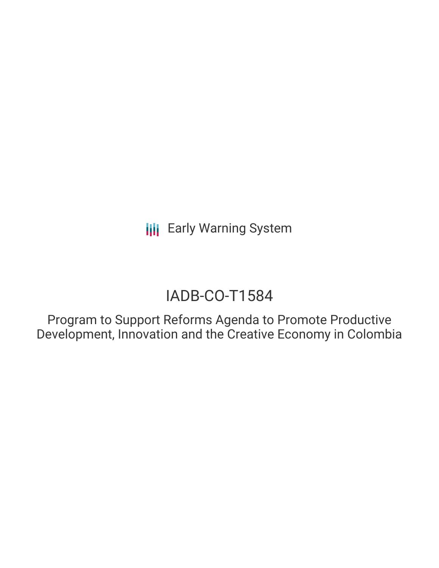**III** Early Warning System

# IADB-CO-T1584

Program to Support Reforms Agenda to Promote Productive Development, Innovation and the Creative Economy in Colombia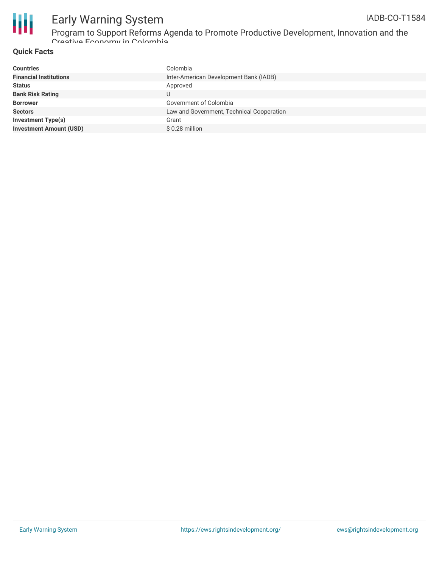

### Early Warning System Program to Support Reforms Agenda to Promote Productive Development, Innovation and the

Creative Economy in Colombia

### **Quick Facts**

| Colombia                                  |
|-------------------------------------------|
| Inter-American Development Bank (IADB)    |
| Approved                                  |
| U                                         |
| Government of Colombia                    |
| Law and Government, Technical Cooperation |
| Grant                                     |
| \$0.28 million                            |
|                                           |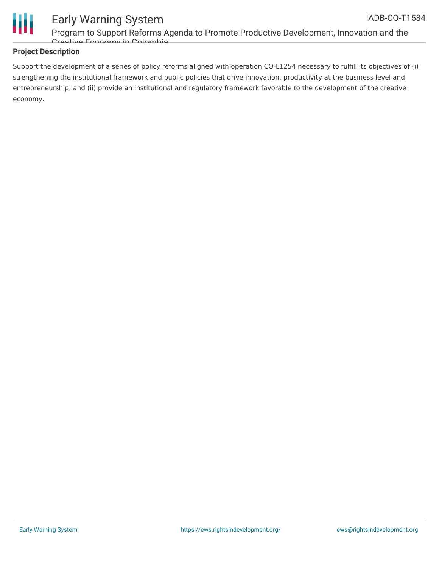

### Early Warning System Program to Support Reforms Agenda to Promote Productive Development, Innovation and the IADB-CO-T1584

Creative Economy in Colombia

### **Project Description**

Support the development of a series of policy reforms aligned with operation CO-L1254 necessary to fulfill its objectives of (i) strengthening the institutional framework and public policies that drive innovation, productivity at the business level and entrepreneurship; and (ii) provide an institutional and regulatory framework favorable to the development of the creative economy.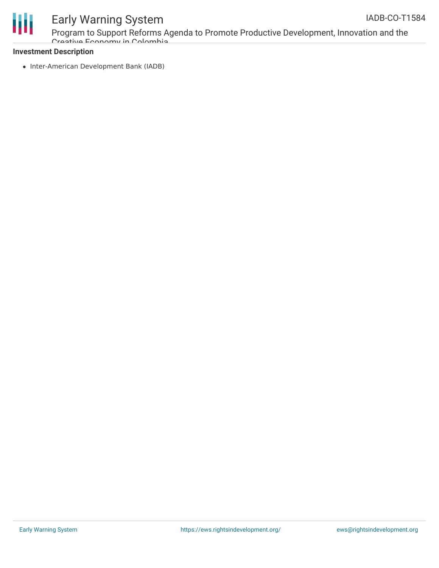

## Early Warning System

Program to Support Reforms Agenda to Promote Productive Development, Innovation and the Creative Economy in Colombia

### **Investment Description**

• Inter-American Development Bank (IADB)